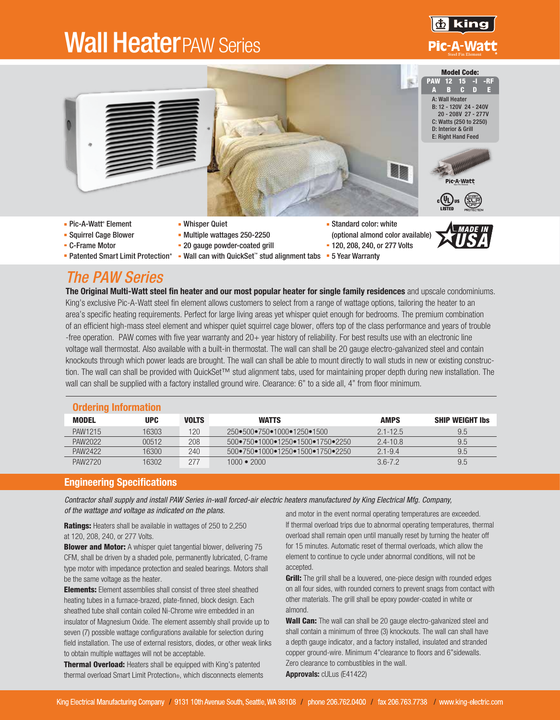# **Wall Heater PAW Series**





- Squirrel Cage Blower
- **C-Frame Motor**
- 
- **Whisper Quiet**
- Multiple wattages 250-2250
- **20 gauge powder-coated grill**
- Patented Smart Limit Protection® = Wall can with QuickSet™ stud alignment tabs = 5 Year Warranty
- (optional almond color available)
- <sup>■</sup> 120, 208, 240, or 277 Volts
- 



### *The PAW Series*

The Original Multi-Watt steel fin heater and our most popular heater for single family residences and upscale condominiums. King's exclusive Pic-A-Watt steel fin element allows customers to select from a range of wattage options, tailoring the heater to an area's specific heating requirements. Perfect for large living areas yet whisper quiet enough for bedrooms. The premium combination of an efficient high-mass steel element and whisper quiet squirrel cage blower, offers top of the class performance and years of trouble -free operation. PAW comes with five year warranty and 20+ year history of reliability. For best results use with an electronic line voltage wall thermostat. Also available with a built-in thermostat. The wall can shall be 20 gauge electro-galvanized steel and contain knockouts through which power leads are brought. The wall can shall be able to mount directly to wall studs in new or existing construction. The wall can shall be provided with QuickSet™ stud alignment tabs, used for maintaining proper depth during new installation. The wall can shall be supplied with a factory installed ground wire. Clearance: 6" to a side all, 4" from floor minimum.

| <b>Ordering Information</b> |            |              |                                                                        |              |                        |  |  |
|-----------------------------|------------|--------------|------------------------------------------------------------------------|--------------|------------------------|--|--|
| MODEL                       | <b>UPC</b> | <b>VOLTS</b> | <b>WATTS</b>                                                           | <b>AMPS</b>  | <b>SHIP WEIGHT Ibs</b> |  |  |
| PAW1215                     | 16303      | 120          | $250 \cdot 500 \cdot 750 \cdot 1000 \cdot 1250 \cdot 1500$             | $2.1 - 12.5$ | 9.5                    |  |  |
| PAW2022                     | 00512      | 208          | $500 \cdot 750 \cdot 1000 \cdot 1250 \cdot 1500 \cdot 1750 \cdot 2250$ | $2.4 - 10.8$ | 9.5                    |  |  |
| PAW2422                     | 16300-     | 240          | $500 \cdot 750 \cdot 1000 \cdot 1250 \cdot 1500 \cdot 1750 \cdot 2250$ | $2.1 - 9.4$  | 9.5                    |  |  |
| PAW2720                     | 16302      | 277          | $1000 - 2000$                                                          | $3.6 - 7.2$  | 9.5                    |  |  |

#### Engineering Specifications

*Contractor shall supply and install PAW Series in-wall forced-air electric heaters manufactured by King Electrical Mfg. Company, of the wattage and voltage as indicated on the plans.*

Ratings: Heaters shall be available in wattages of 250 to 2,250 at 120, 208, 240, or 277 Volts.

**Blower and Motor:** A whisper quiet tangential blower, delivering 75 CFM, shall be driven by a shaded pole, permanently lubricated, C-frame type motor with impedance protection and sealed bearings. Motors shall be the same voltage as the heater.

Elements: Element assemblies shall consist of three steel sheathed heating tubes in a furnace-brazed, plate-finned, block design. Each sheathed tube shall contain coiled Ni-Chrome wire embedded in an insulator of Magnesium Oxide. The element assembly shall provide up to seven (7) possible wattage configurations available for selection during field installation. The use of external resistors, diodes, or other weak links to obtain multiple wattages will not be acceptable.

**Thermal Overload:** Heaters shall be equipped with King's patented

and motor in the event normal operating temperatures are exceeded. If thermal overload trips due to abnormal operating temperatures, thermal overload shall remain open until manually reset by turning the heater off for 15 minutes. Automatic reset of thermal overloads, which allow the element to continue to cycle under abnormal conditions, will not be accepted.

**Grill:** The grill shall be a louvered, one-piece design with rounded edges on all four sides, with rounded corners to prevent snags from contact with other materials. The grill shall be epoxy powder-coated in white or almond.

Wall Can: The wall can shall be 20 gauge electro-galvanized steel and shall contain a minimum of three (3) knockouts. The wall can shall have a depth gauge indicator, and a factory installed, insulated and stranded copper ground-wire. Minimum 4"clearance to floors and 6"sidewalls. Zero clearance to combustibles in the wall.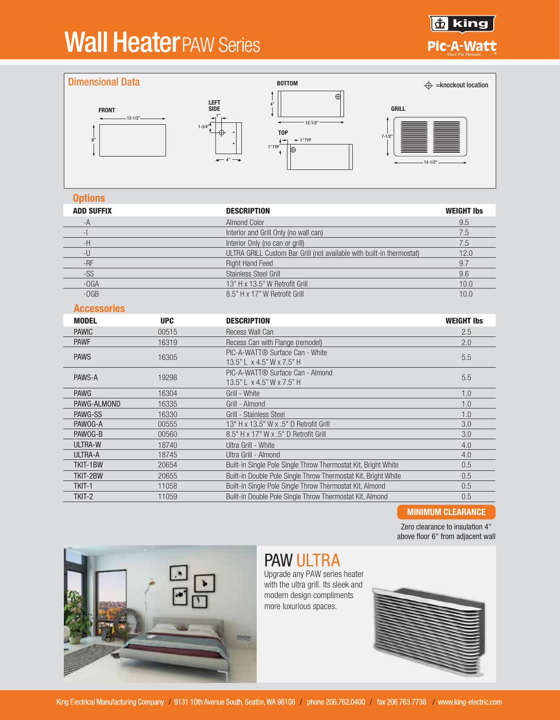# **Wall HeaterPAW Series**





#### **Options**

| <b>ADD SUFFIX</b>        |            | <b>DESCRIPTION</b>                                                    | <b>WEIGHT Ibs</b> |  |
|--------------------------|------------|-----------------------------------------------------------------------|-------------------|--|
| -A                       |            | <b>Almond Color</b>                                                   | 9.5               |  |
| $\overline{\phantom{a}}$ |            | Interior and Grill Only (no wall can)                                 | 7.5               |  |
| -H                       |            | Interior Only (no can or grill)                                       | 7.5               |  |
| -U                       |            | ULTRA GRILL Custom Bar Grill (not available with built-in thermostat) | 12.0              |  |
| $-RF$                    |            | <b>Right Hand Feed</b>                                                | 9.7               |  |
| -SS                      |            | <b>Stainless Steel Grill</b>                                          | 9.6               |  |
| $-OGA$                   |            | 13" H x 13.5" W Retrofit Grill                                        | 10.0              |  |
| $-OGB$                   |            | 8.5" H x 17" W Retrofit Grill                                         | 10.0              |  |
| <b>Accessories</b>       |            |                                                                       |                   |  |
| <b>MODEL</b>             | <b>UPC</b> | <b>DESCRIPTION</b>                                                    | <b>WEIGHT Ibs</b> |  |
| <b>PAWIC</b>             | 00515      | <b>Recess Wall Can</b>                                                | 2.5               |  |
| <b>PAWF</b>              | 16319      | Recess Can with Flange (remodel)                                      | 2.0               |  |
| <b>PAWS</b>              | 16305      | PIC-A-WATT® Surface Can - White                                       | 5.5               |  |
|                          |            | 13.5" L x 4.5" W x 7.5" H                                             |                   |  |
| PAWS-A                   | 19298      | PIC-A-WATT® Surface Can - Almond                                      | 5.5               |  |
|                          |            | 13.5" L x 4.5" W x 7.5" H                                             |                   |  |
| <b>PAWG</b>              | 16304      | Grill - White                                                         | 1.0               |  |
| PAWG-ALMOND              | 16335      | Grill - Almond                                                        | 1.0               |  |
| PAWG-SS                  | 16330      | Grill - Stainless Steel                                               | 1.0               |  |
| PAWOG-A                  | 00555      | 13" H x 13.5" W x .5" D Retrofit Grill                                | 3.0               |  |
| PAWOG-B                  | 00560      | 8.5" H x 17" W x .5" D Retrofit Grill                                 | 3.0               |  |
| ULTRA-W                  | 18740      | Ultra Grill - White                                                   | 4.0               |  |
| <b>ULTRA-A</b>           | 18745      | Ultra Grill - Almond                                                  | 4.0               |  |
| TKIT-1BW                 | 20654      | Built-in Single Pole Single Throw Thermostat Kit, Bright White        | 0.5               |  |
| TKIT-2BW                 | 20655      | Built-in Double Pole Single Throw Thermostat Kit, Bright White        | 0.5               |  |
| TKIT-1                   | 11058      | Built-in Single Pole Single Throw Thermostat Kit, Almond              | 0.5               |  |
| TKIT-2                   | 11059      | Built-in Double Pole Single Throw Thermostat Kit, Almond              | 0.5               |  |

#### MINIMUM CLEARANCE

Zero clearance to insulation 4" above floor 6" from adjacent wall



### PAW ULTRA

Upgrade any PAW series heater with the ultra grill. Its sleek and modern design compliments more luxurious spaces.